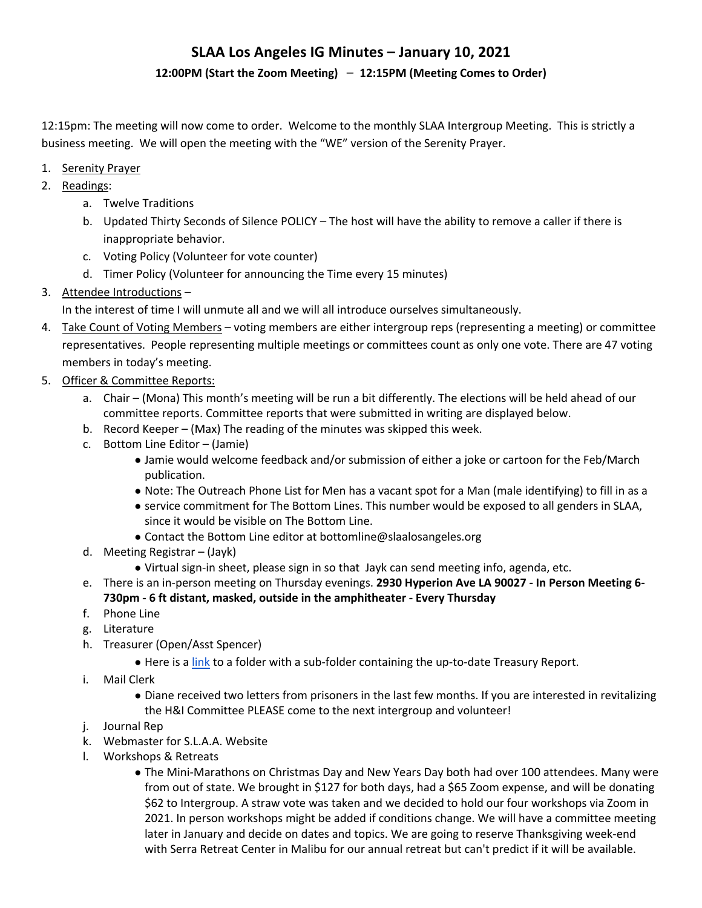#### **12:00PM (Start the Zoom Meeting)** – **12:15PM (Meeting Comes to Order)**

12:15pm: The meeting will now come to order. Welcome to the monthly SLAA Intergroup Meeting. This is strictly a business meeting. We will open the meeting with the "WE" version of the Serenity Prayer.

- 1. Serenity Prayer
- 2. Readings:
	- a. Twelve Traditions
	- b. Updated Thirty Seconds of Silence POLICY The host will have the ability to remove a caller if there is inappropriate behavior.
	- c. Voting Policy (Volunteer for vote counter)
	- d. Timer Policy (Volunteer for announcing the Time every 15 minutes)
- 3. Attendee Introductions –

In the interest of time I will unmute all and we will all introduce ourselves simultaneously.

- 4. Take Count of Voting Members voting members are either intergroup reps (representing a meeting) or committee representatives. People representing multiple meetings or committees count as only one vote. There are 47 voting members in today's meeting.
- 5. Officer & Committee Reports:
	- a. Chair (Mona) This month's meeting will be run a bit differently. The elections will be held ahead of our committee reports. Committee reports that were submitted in writing are displayed below.
	- b. Record Keeper (Max) The reading of the minutes was skipped this week.
	- c. Bottom Line Editor (Jamie)
		- Jamie would welcome feedback and/or submission of either a joke or cartoon for the Feb/March publication.
		- Note: The Outreach Phone List for Men has a vacant spot for a Man (male identifying) to fill in as a
		- service commitment for The Bottom Lines. This number would be exposed to all genders in SLAA, since it would be visible on The Bottom Line.
		- Contact the Bottom Line editor at bottomline@slaalosangeles.org
	- d. Meeting Registrar (Jayk)
		- Virtual sign-in sheet, please sign in so that Jayk can send meeting info, agenda, etc.
	- e. There is an in-person meeting on Thursday evenings. **2930 Hyperion Ave LA 90027 - In Person Meeting 6- 730pm - 6 ft distant, masked, outside in the amphitheater - Every Thursday**
	- f. Phone Line
	- g. Literature
	- h. Treasurer (Open/Asst Spencer)
		- Here is a link to a folder with a sub-folder containing the up-to-date Treasury Report.
	- i. Mail Clerk
		- Diane received two letters from prisoners in the last few months. If you are interested in revitalizing the H&I Committee PLEASE come to the next intergroup and volunteer!
	- j. Journal Rep
	- k. Webmaster for S.L.A.A. Website
	- l. Workshops & Retreats
		- The Mini-Marathons on Christmas Day and New Years Day both had over 100 attendees. Many were from out of state. We brought in \$127 for both days, had a \$65 Zoom expense, and will be donating \$62 to Intergroup. A straw vote was taken and we decided to hold our four workshops via Zoom in 2021. In person workshops might be added if conditions change. We will have a committee meeting later in January and decide on dates and topics. We are going to reserve Thanksgiving week-end with Serra Retreat Center in Malibu for our annual retreat but can't predict if it will be available.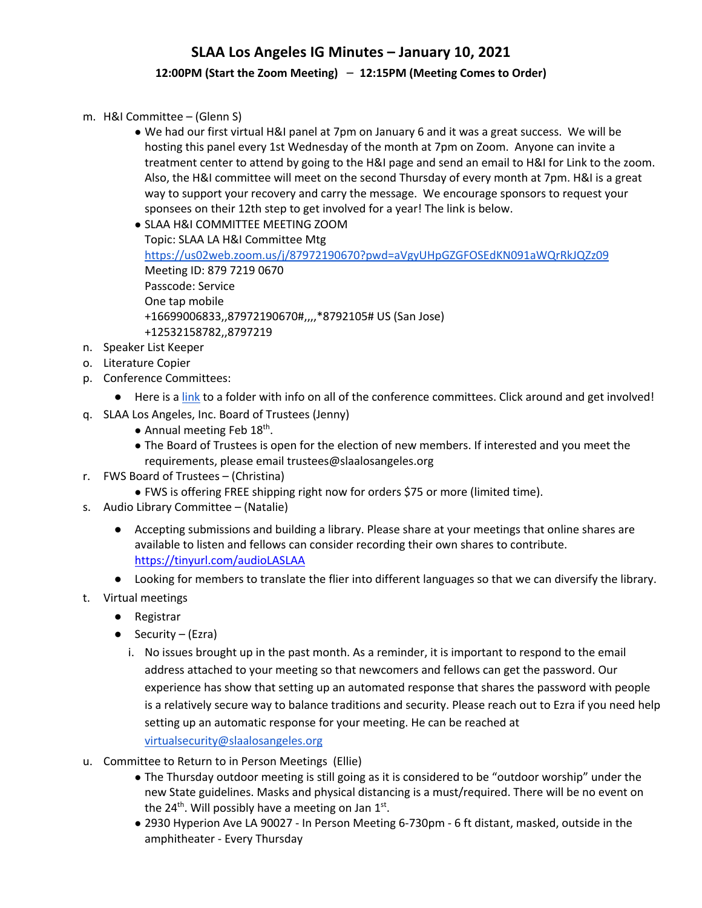#### **12:00PM (Start the Zoom Meeting)** – **12:15PM (Meeting Comes to Order)**

- m. H&I Committee (Glenn S)
	- We had our first virtual H&I panel at 7pm on January 6 and it was a great success. We will be hosting this panel every 1st Wednesday of the month at 7pm on Zoom. Anyone can invite a treatment center to attend by going to the H&I page and send an email to H&I for Link to the zoom. Also, the H&I committee will meet on the second Thursday of every month at 7pm. H&I is a great way to support your recovery and carry the message. We encourage sponsors to request your sponsees on their 12th step to get involved for a year! The link is below.
	- SLAA H&I COMMITTEE MEETING ZOOM

Topic: SLAA LA H&I Committee Mtg https://us02web.zoom.us/j/87972190670?pwd=aVgyUHpGZGFOSEdKN091aWQrRkJQZz09 Meeting ID: 879 7219 0670 Passcode: Service One tap mobile +16699006833,,87972190670#,,,,\*8792105# US (San Jose) +12532158782,,8797219

- n. Speaker List Keeper
- o. Literature Copier
- p. Conference Committees:
	- Here is a link to a folder with info on all of the conference committees. Click around and get involved!
- q. SLAA Los Angeles, Inc. Board of Trustees (Jenny)
	- $\bullet$  Annual meeting Feb 18<sup>th</sup>.
	- The Board of Trustees is open for the election of new members. If interested and you meet the requirements, please email trustees@slaalosangeles.org
- r. FWS Board of Trustees (Christina)
	- FWS is offering FREE shipping right now for orders \$75 or more (limited time).
- s. Audio Library Committee (Natalie)
	- Accepting submissions and building a library. Please share at your meetings that online shares are available to listen and fellows can consider recording their own shares to contribute. https://tinyurl.com/audioLASLAA
	- Looking for members to translate the flier into different languages so that we can diversify the library.
- t. Virtual meetings
	- Registrar
	- $\bullet$  Security (Ezra)
		- i. No issues brought up in the past month. As a reminder, it is important to respond to the email address attached to your meeting so that newcomers and fellows can get the password. Our experience has show that setting up an automated response that shares the password with people is a relatively secure way to balance traditions and security. Please reach out to Ezra if you need help setting up an automatic response for your meeting. He can be reached at virtualsecurity@slaalosangeles.org
- u. Committee to Return to in Person Meetings (Ellie)
	- The Thursday outdoor meeting is still going as it is considered to be "outdoor worship" under the new State guidelines. Masks and physical distancing is a must/required. There will be no event on the 24<sup>th</sup>. Will possibly have a meeting on Jan  $1<sup>st</sup>$ .
	- 2930 Hyperion Ave LA 90027 In Person Meeting 6-730pm 6 ft distant, masked, outside in the amphitheater - Every Thursday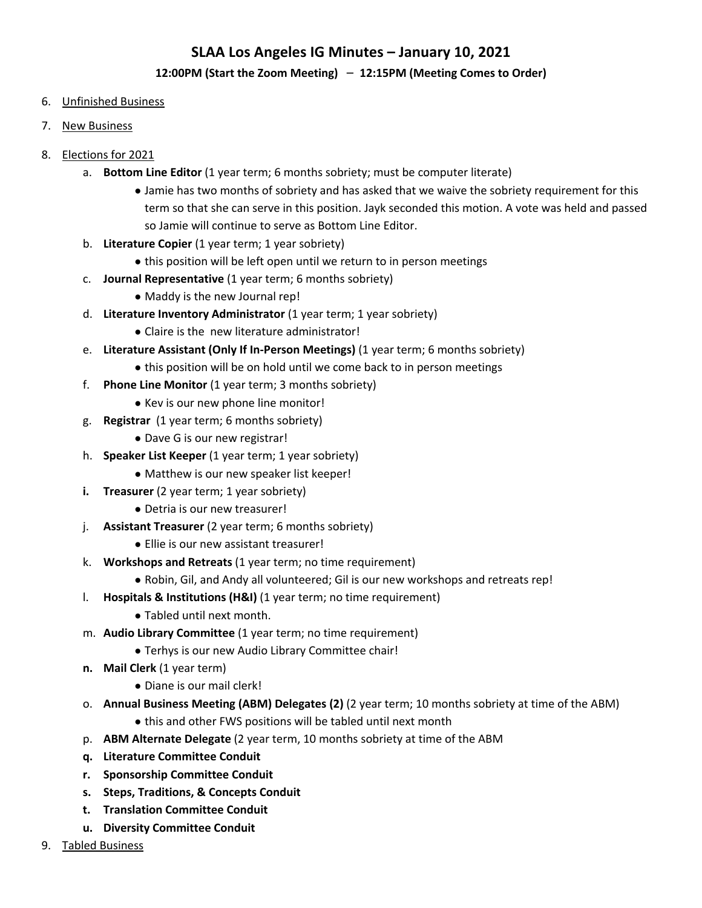#### **12:00PM (Start the Zoom Meeting)** – **12:15PM (Meeting Comes to Order)**

- 6. Unfinished Business
- 7. New Business
- 8. Elections for 2021
	- a. **Bottom Line Editor** (1 year term; 6 months sobriety; must be computer literate)
		- Jamie has two months of sobriety and has asked that we waive the sobriety requirement for this term so that she can serve in this position. Jayk seconded this motion. A vote was held and passed so Jamie will continue to serve as Bottom Line Editor.
	- b. **Literature Copier** (1 year term; 1 year sobriety)
		- this position will be left open until we return to in person meetings
	- c. **Journal Representative** (1 year term; 6 months sobriety)
		- Maddy is the new Journal rep!
	- d. **Literature Inventory Administrator** (1 year term; 1 year sobriety)
		- Claire is the new literature administrator!
	- e. **Literature Assistant (Only If In-Person Meetings)** (1 year term; 6 months sobriety)
		- this position will be on hold until we come back to in person meetings
	- f. **Phone Line Monitor** (1 year term; 3 months sobriety)
		- Kev is our new phone line monitor!
	- g. **Registrar** (1 year term; 6 months sobriety)
		- Dave G is our new registrar!
	- h. **Speaker List Keeper** (1 year term; 1 year sobriety)
		- Matthew is our new speaker list keeper!
	- **i. Treasurer** (2 year term; 1 year sobriety)
		- Detria is our new treasurer!
	- j. **Assistant Treasurer** (2 year term; 6 months sobriety)
		- Ellie is our new assistant treasurer!
	- k. **Workshops and Retreats** (1 year term; no time requirement)
		- Robin, Gil, and Andy all volunteered; Gil is our new workshops and retreats rep!
	- l. **Hospitals & Institutions (H&I)** (1 year term; no time requirement)
		- Tabled until next month.
	- m. **Audio Library Committee** (1 year term; no time requirement)
		- Terhys is our new Audio Library Committee chair!
	- **n.** Mail Clerk (1 year term)
		- Diane is our mail clerk!
	- o. **Annual Business Meeting (ABM) Delegates (2)** (2 year term; 10 months sobriety at time of the ABM)
		- this and other FWS positions will be tabled until next month
	- p. **ABM Alternate Delegate** (2 year term, 10 months sobriety at time of the ABM
	- **q. Literature Committee Conduit**
	- **r. Sponsorship Committee Conduit**
	- **s. Steps, Traditions, & Concepts Conduit**
	- **t. Translation Committee Conduit**
	- **u. Diversity Committee Conduit**
- 9. Tabled Business